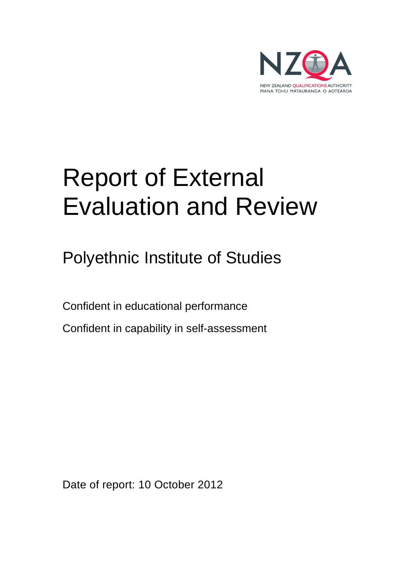

# Report of External Evaluation and Review

Polyethnic Institute of Studies

Confident in educational performance

Confident in capability in self-assessment

Date of report: 10 October 2012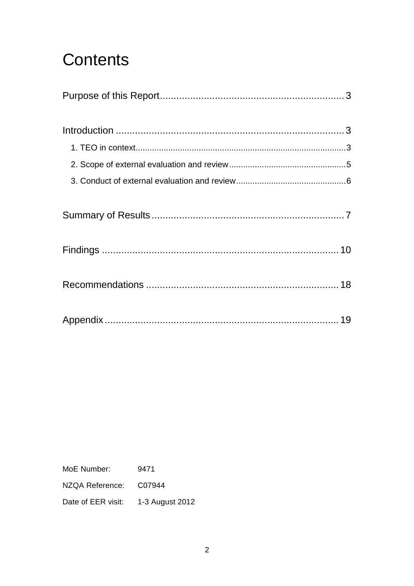## **Contents**

MoE Number: 9471

NZQA Reference: C07944

Date of EER visit: 1-3 August 2012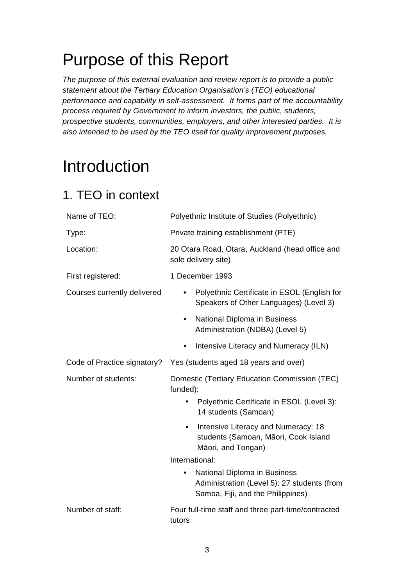## Purpose of this Report

The purpose of this external evaluation and review report is to provide a public statement about the Tertiary Education Organisation's (TEO) educational performance and capability in self-assessment. It forms part of the accountability process required by Government to inform investors, the public, students, prospective students, communities, employers, and other interested parties. It is also intended to be used by the TEO itself for quality improvement purposes.

## **Introduction**

### 1. TEO in context

| Name of TEO:                | Polyethnic Institute of Studies (Polyethnic)                                                                                  |
|-----------------------------|-------------------------------------------------------------------------------------------------------------------------------|
| Type:                       | Private training establishment (PTE)                                                                                          |
| Location:                   | 20 Otara Road, Otara, Auckland (head office and<br>sole delivery site)                                                        |
| First registered:           | 1 December 1993                                                                                                               |
| Courses currently delivered | Polyethnic Certificate in ESOL (English for<br>Speakers of Other Languages) (Level 3)                                         |
|                             | National Diploma in Business<br>$\bullet$<br>Administration (NDBA) (Level 5)                                                  |
|                             | Intensive Literacy and Numeracy (ILN)                                                                                         |
| Code of Practice signatory? | Yes (students aged 18 years and over)                                                                                         |
| Number of students:         | Domestic (Tertiary Education Commission (TEC)<br>funded):                                                                     |
|                             | Polyethnic Certificate in ESOL (Level 3):<br>14 students (Samoan)                                                             |
|                             | Intensive Literacy and Numeracy: 18<br>students (Samoan, Māori, Cook Island<br>Māori, and Tongan)                             |
|                             | International:                                                                                                                |
|                             | National Diploma in Business<br>$\bullet$<br>Administration (Level 5): 27 students (from<br>Samoa, Fiji, and the Philippines) |
| Number of staff:            | Four full-time staff and three part-time/contracted<br>tutors                                                                 |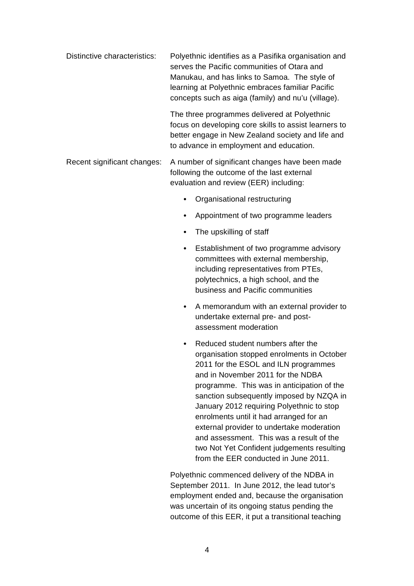- Distinctive characteristics: Polyethnic identifies as a Pasifika organisation and serves the Pacific communities of Otara and Manukau, and has links to Samoa. The style of learning at Polyethnic embraces familiar Pacific concepts such as aiga (family) and nu'u (village). The three programmes delivered at Polyethnic focus on developing core skills to assist learners to better engage in New Zealand society and life and
- Recent significant changes: A number of significant changes have been made following the outcome of the last external evaluation and review (EER) including:
	- Organisational restructuring

to advance in employment and education.

- Appointment of two programme leaders
- The upskilling of staff
- Establishment of two programme advisory committees with external membership, including representatives from PTEs, polytechnics, a high school, and the business and Pacific communities
- A memorandum with an external provider to undertake external pre- and postassessment moderation
- Reduced student numbers after the organisation stopped enrolments in October 2011 for the ESOL and ILN programmes and in November 2011 for the NDBA programme. This was in anticipation of the sanction subsequently imposed by NZQA in January 2012 requiring Polyethnic to stop enrolments until it had arranged for an external provider to undertake moderation and assessment. This was a result of the two Not Yet Confident judgements resulting from the EER conducted in June 2011.

Polyethnic commenced delivery of the NDBA in September 2011. In June 2012, the lead tutor's employment ended and, because the organisation was uncertain of its ongoing status pending the outcome of this EER, it put a transitional teaching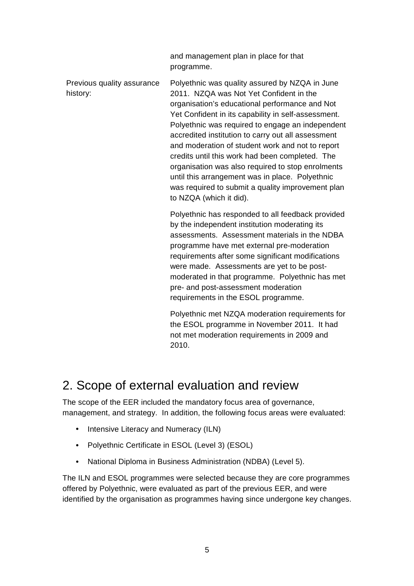|                                        | and management plan in place for that<br>programme.                                                                                                                                                                                                                                                                                                                                                                                                                                                                                                                                                         |
|----------------------------------------|-------------------------------------------------------------------------------------------------------------------------------------------------------------------------------------------------------------------------------------------------------------------------------------------------------------------------------------------------------------------------------------------------------------------------------------------------------------------------------------------------------------------------------------------------------------------------------------------------------------|
| Previous quality assurance<br>history: | Polyethnic was quality assured by NZQA in June<br>2011. NZQA was Not Yet Confident in the<br>organisation's educational performance and Not<br>Yet Confident in its capability in self-assessment.<br>Polyethnic was required to engage an independent<br>accredited institution to carry out all assessment<br>and moderation of student work and not to report<br>credits until this work had been completed. The<br>organisation was also required to stop enrolments<br>until this arrangement was in place. Polyethnic<br>was required to submit a quality improvement plan<br>to NZQA (which it did). |
|                                        | Polyethnic has responded to all feedback provided<br>by the independent institution moderating its<br>assessments. Assessment materials in the NDBA<br>programme have met external pre-moderation<br>requirements after some significant modifications<br>were made. Assessments are yet to be post-<br>moderated in that programme. Polyethnic has met<br>pre- and post-assessment moderation<br>requirements in the ESOL programme.                                                                                                                                                                       |
|                                        | Polvethnic met NZOA moderation requirements for                                                                                                                                                                                                                                                                                                                                                                                                                                                                                                                                                             |

Polyethnic met NZQA moderation requirements for the ESOL programme in November 2011. It had not met moderation requirements in 2009 and 2010.

### 2. Scope of external evaluation and review

The scope of the EER included the mandatory focus area of governance, management, and strategy. In addition, the following focus areas were evaluated:

- Intensive Literacy and Numeracy (ILN)
- Polyethnic Certificate in ESOL (Level 3) (ESOL)
- National Diploma in Business Administration (NDBA) (Level 5).

The ILN and ESOL programmes were selected because they are core programmes offered by Polyethnic, were evaluated as part of the previous EER, and were identified by the organisation as programmes having since undergone key changes.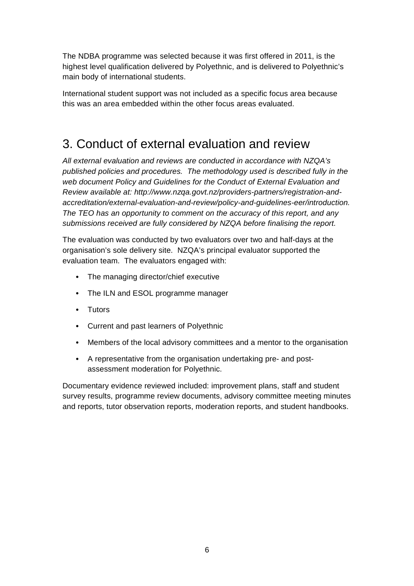The NDBA programme was selected because it was first offered in 2011, is the highest level qualification delivered by Polyethnic, and is delivered to Polyethnic's main body of international students.

International student support was not included as a specific focus area because this was an area embedded within the other focus areas evaluated.

### 3. Conduct of external evaluation and review

All external evaluation and reviews are conducted in accordance with NZQA's published policies and procedures. The methodology used is described fully in the web document Policy and Guidelines for the Conduct of External Evaluation and Review available at: http://www.nzqa.govt.nz/providers-partners/registration-andaccreditation/external-evaluation-and-review/policy-and-guidelines-eer/introduction. The TEO has an opportunity to comment on the accuracy of this report, and any submissions received are fully considered by NZQA before finalising the report.

The evaluation was conducted by two evaluators over two and half-days at the organisation's sole delivery site. NZQA's principal evaluator supported the evaluation team. The evaluators engaged with:

- The managing director/chief executive
- The ILN and ESOL programme manager
- Tutors
- Current and past learners of Polyethnic
- Members of the local advisory committees and a mentor to the organisation
- A representative from the organisation undertaking pre- and postassessment moderation for Polyethnic.

Documentary evidence reviewed included: improvement plans, staff and student survey results, programme review documents, advisory committee meeting minutes and reports, tutor observation reports, moderation reports, and student handbooks.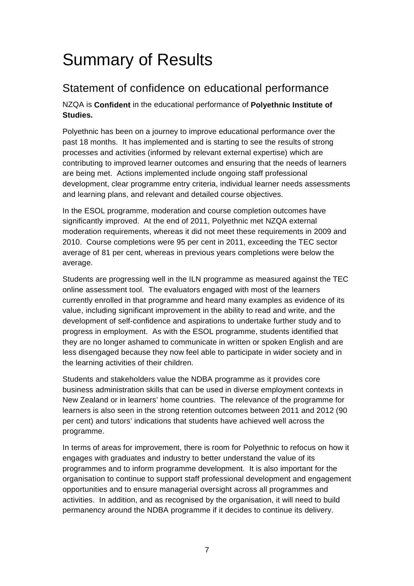## Summary of Results

### Statement of confidence on educational performance

NZQA is **Confident** in the educational performance of **Polyethnic Institute of Studies.**

Polyethnic has been on a journey to improve educational performance over the past 18 months. It has implemented and is starting to see the results of strong processes and activities (informed by relevant external expertise) which are contributing to improved learner outcomes and ensuring that the needs of learners are being met. Actions implemented include ongoing staff professional development, clear programme entry criteria, individual learner needs assessments and learning plans, and relevant and detailed course objectives.

In the ESOL programme, moderation and course completion outcomes have significantly improved. At the end of 2011, Polyethnic met NZQA external moderation requirements, whereas it did not meet these requirements in 2009 and 2010. Course completions were 95 per cent in 2011, exceeding the TEC sector average of 81 per cent, whereas in previous years completions were below the average.

Students are progressing well in the ILN programme as measured against the TEC online assessment tool. The evaluators engaged with most of the learners currently enrolled in that programme and heard many examples as evidence of its value, including significant improvement in the ability to read and write, and the development of self-confidence and aspirations to undertake further study and to progress in employment. As with the ESOL programme, students identified that they are no longer ashamed to communicate in written or spoken English and are less disengaged because they now feel able to participate in wider society and in the learning activities of their children.

Students and stakeholders value the NDBA programme as it provides core business administration skills that can be used in diverse employment contexts in New Zealand or in learners' home countries. The relevance of the programme for learners is also seen in the strong retention outcomes between 2011 and 2012 (90 per cent) and tutors' indications that students have achieved well across the programme.

In terms of areas for improvement, there is room for Polyethnic to refocus on how it engages with graduates and industry to better understand the value of its programmes and to inform programme development. It is also important for the organisation to continue to support staff professional development and engagement opportunities and to ensure managerial oversight across all programmes and activities. In addition, and as recognised by the organisation, it will need to build permanency around the NDBA programme if it decides to continue its delivery.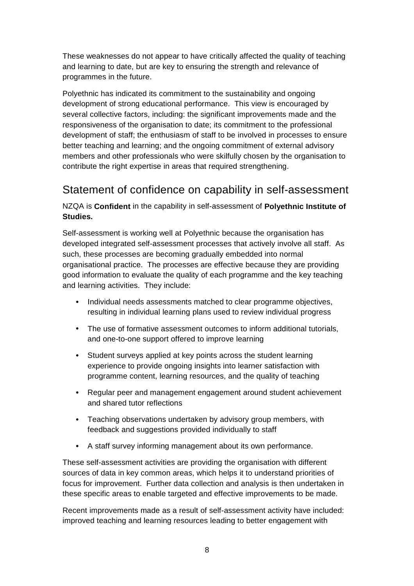These weaknesses do not appear to have critically affected the quality of teaching and learning to date, but are key to ensuring the strength and relevance of programmes in the future.

Polyethnic has indicated its commitment to the sustainability and ongoing development of strong educational performance. This view is encouraged by several collective factors, including: the significant improvements made and the responsiveness of the organisation to date; its commitment to the professional development of staff; the enthusiasm of staff to be involved in processes to ensure better teaching and learning; and the ongoing commitment of external advisory members and other professionals who were skilfully chosen by the organisation to contribute the right expertise in areas that required strengthening.

### Statement of confidence on capability in self-assessment

NZQA is **Confident** in the capability in self-assessment of **Polyethnic Institute of Studies.**

Self-assessment is working well at Polyethnic because the organisation has developed integrated self-assessment processes that actively involve all staff. As such, these processes are becoming gradually embedded into normal organisational practice. The processes are effective because they are providing good information to evaluate the quality of each programme and the key teaching and learning activities. They include:

- Individual needs assessments matched to clear programme objectives, resulting in individual learning plans used to review individual progress
- The use of formative assessment outcomes to inform additional tutorials, and one-to-one support offered to improve learning
- Student surveys applied at key points across the student learning experience to provide ongoing insights into learner satisfaction with programme content, learning resources, and the quality of teaching
- Regular peer and management engagement around student achievement and shared tutor reflections
- Teaching observations undertaken by advisory group members, with feedback and suggestions provided individually to staff
- A staff survey informing management about its own performance.

These self-assessment activities are providing the organisation with different sources of data in key common areas, which helps it to understand priorities of focus for improvement. Further data collection and analysis is then undertaken in these specific areas to enable targeted and effective improvements to be made.

Recent improvements made as a result of self-assessment activity have included: improved teaching and learning resources leading to better engagement with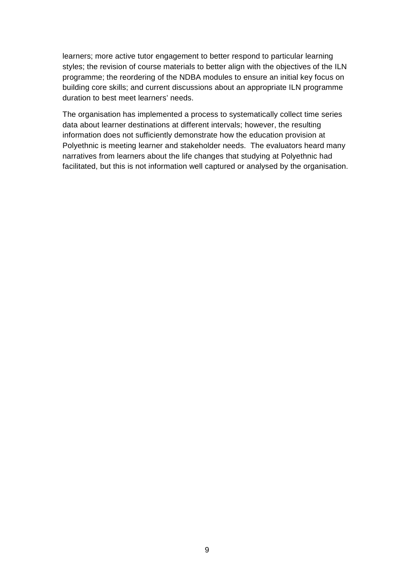learners; more active tutor engagement to better respond to particular learning styles; the revision of course materials to better align with the objectives of the ILN programme; the reordering of the NDBA modules to ensure an initial key focus on building core skills; and current discussions about an appropriate ILN programme duration to best meet learners' needs.

The organisation has implemented a process to systematically collect time series data about learner destinations at different intervals; however, the resulting information does not sufficiently demonstrate how the education provision at Polyethnic is meeting learner and stakeholder needs. The evaluators heard many narratives from learners about the life changes that studying at Polyethnic had facilitated, but this is not information well captured or analysed by the organisation.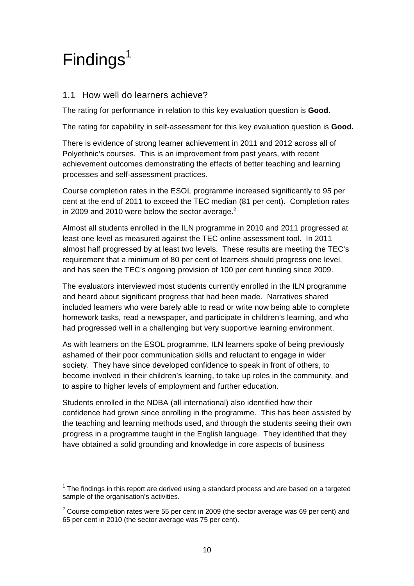## $Findings<sup>1</sup>$

l

#### 1.1 How well do learners achieve?

The rating for performance in relation to this key evaluation question is **Good.**

The rating for capability in self-assessment for this key evaluation question is **Good.**

There is evidence of strong learner achievement in 2011 and 2012 across all of Polyethnic's courses. This is an improvement from past years, with recent achievement outcomes demonstrating the effects of better teaching and learning processes and self-assessment practices.

Course completion rates in the ESOL programme increased significantly to 95 per cent at the end of 2011 to exceed the TEC median (81 per cent). Completion rates in 2009 and 2010 were below the sector average. $2$ 

Almost all students enrolled in the ILN programme in 2010 and 2011 progressed at least one level as measured against the TEC online assessment tool. In 2011 almost half progressed by at least two levels. These results are meeting the TEC's requirement that a minimum of 80 per cent of learners should progress one level, and has seen the TEC's ongoing provision of 100 per cent funding since 2009.

The evaluators interviewed most students currently enrolled in the ILN programme and heard about significant progress that had been made. Narratives shared included learners who were barely able to read or write now being able to complete homework tasks, read a newspaper, and participate in children's learning, and who had progressed well in a challenging but very supportive learning environment.

As with learners on the ESOL programme, ILN learners spoke of being previously ashamed of their poor communication skills and reluctant to engage in wider society. They have since developed confidence to speak in front of others, to become involved in their children's learning, to take up roles in the community, and to aspire to higher levels of employment and further education.

Students enrolled in the NDBA (all international) also identified how their confidence had grown since enrolling in the programme. This has been assisted by the teaching and learning methods used, and through the students seeing their own progress in a programme taught in the English language. They identified that they have obtained a solid grounding and knowledge in core aspects of business

 $1$  The findings in this report are derived using a standard process and are based on a targeted sample of the organisation's activities.

 $2$  Course completion rates were 55 per cent in 2009 (the sector average was 69 per cent) and 65 per cent in 2010 (the sector average was 75 per cent).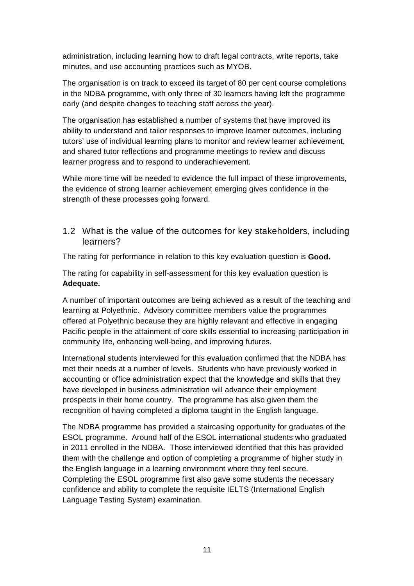administration, including learning how to draft legal contracts, write reports, take minutes, and use accounting practices such as MYOB.

The organisation is on track to exceed its target of 80 per cent course completions in the NDBA programme, with only three of 30 learners having left the programme early (and despite changes to teaching staff across the year).

The organisation has established a number of systems that have improved its ability to understand and tailor responses to improve learner outcomes, including tutors' use of individual learning plans to monitor and review learner achievement, and shared tutor reflections and programme meetings to review and discuss learner progress and to respond to underachievement.

While more time will be needed to evidence the full impact of these improvements, the evidence of strong learner achievement emerging gives confidence in the strength of these processes going forward.

1.2 What is the value of the outcomes for key stakeholders, including learners?

The rating for performance in relation to this key evaluation question is **Good.**

The rating for capability in self-assessment for this key evaluation question is **Adequate.**

A number of important outcomes are being achieved as a result of the teaching and learning at Polyethnic. Advisory committee members value the programmes offered at Polyethnic because they are highly relevant and effective in engaging Pacific people in the attainment of core skills essential to increasing participation in community life, enhancing well-being, and improving futures.

International students interviewed for this evaluation confirmed that the NDBA has met their needs at a number of levels. Students who have previously worked in accounting or office administration expect that the knowledge and skills that they have developed in business administration will advance their employment prospects in their home country. The programme has also given them the recognition of having completed a diploma taught in the English language.

The NDBA programme has provided a staircasing opportunity for graduates of the ESOL programme. Around half of the ESOL international students who graduated in 2011 enrolled in the NDBA. Those interviewed identified that this has provided them with the challenge and option of completing a programme of higher study in the English language in a learning environment where they feel secure. Completing the ESOL programme first also gave some students the necessary confidence and ability to complete the requisite IELTS (International English Language Testing System) examination.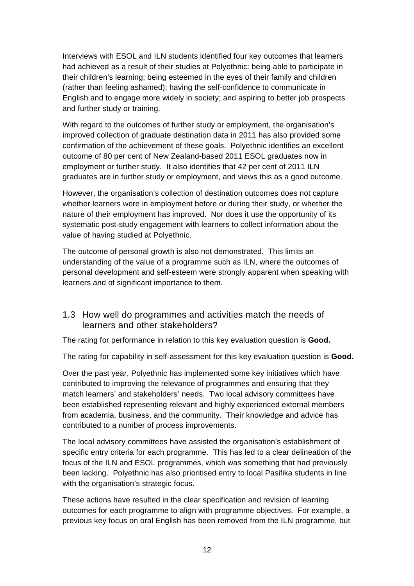Interviews with ESOL and ILN students identified four key outcomes that learners had achieved as a result of their studies at Polyethnic: being able to participate in their children's learning; being esteemed in the eyes of their family and children (rather than feeling ashamed); having the self-confidence to communicate in English and to engage more widely in society; and aspiring to better job prospects and further study or training.

With regard to the outcomes of further study or employment, the organisation's improved collection of graduate destination data in 2011 has also provided some confirmation of the achievement of these goals. Polyethnic identifies an excellent outcome of 80 per cent of New Zealand-based 2011 ESOL graduates now in employment or further study. It also identifies that 42 per cent of 2011 ILN graduates are in further study or employment, and views this as a good outcome.

However, the organisation's collection of destination outcomes does not capture whether learners were in employment before or during their study, or whether the nature of their employment has improved. Nor does it use the opportunity of its systematic post-study engagement with learners to collect information about the value of having studied at Polyethnic.

The outcome of personal growth is also not demonstrated. This limits an understanding of the value of a programme such as ILN, where the outcomes of personal development and self-esteem were strongly apparent when speaking with learners and of significant importance to them.

#### 1.3 How well do programmes and activities match the needs of learners and other stakeholders?

The rating for performance in relation to this key evaluation question is **Good.**

The rating for capability in self-assessment for this key evaluation question is **Good.**

Over the past year, Polyethnic has implemented some key initiatives which have contributed to improving the relevance of programmes and ensuring that they match learners' and stakeholders' needs. Two local advisory committees have been established representing relevant and highly experienced external members from academia, business, and the community. Their knowledge and advice has contributed to a number of process improvements.

The local advisory committees have assisted the organisation's establishment of specific entry criteria for each programme. This has led to a clear delineation of the focus of the ILN and ESOL programmes, which was something that had previously been lacking. Polyethnic has also prioritised entry to local Pasifika students in line with the organisation's strategic focus.

These actions have resulted in the clear specification and revision of learning outcomes for each programme to align with programme objectives. For example, a previous key focus on oral English has been removed from the ILN programme, but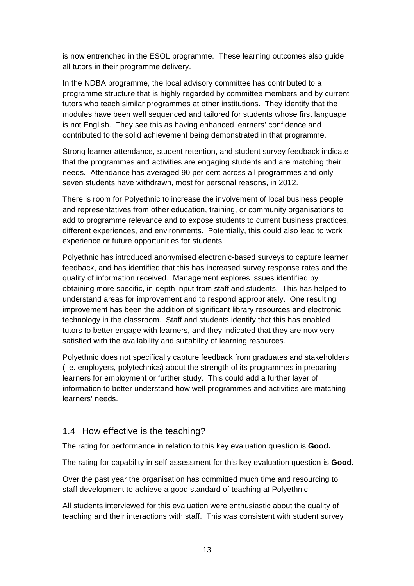is now entrenched in the ESOL programme. These learning outcomes also guide all tutors in their programme delivery.

In the NDBA programme, the local advisory committee has contributed to a programme structure that is highly regarded by committee members and by current tutors who teach similar programmes at other institutions. They identify that the modules have been well sequenced and tailored for students whose first language is not English. They see this as having enhanced learners' confidence and contributed to the solid achievement being demonstrated in that programme.

Strong learner attendance, student retention, and student survey feedback indicate that the programmes and activities are engaging students and are matching their needs. Attendance has averaged 90 per cent across all programmes and only seven students have withdrawn, most for personal reasons, in 2012.

There is room for Polyethnic to increase the involvement of local business people and representatives from other education, training, or community organisations to add to programme relevance and to expose students to current business practices, different experiences, and environments. Potentially, this could also lead to work experience or future opportunities for students.

Polyethnic has introduced anonymised electronic-based surveys to capture learner feedback, and has identified that this has increased survey response rates and the quality of information received. Management explores issues identified by obtaining more specific, in-depth input from staff and students. This has helped to understand areas for improvement and to respond appropriately. One resulting improvement has been the addition of significant library resources and electronic technology in the classroom. Staff and students identify that this has enabled tutors to better engage with learners, and they indicated that they are now very satisfied with the availability and suitability of learning resources.

Polyethnic does not specifically capture feedback from graduates and stakeholders (i.e. employers, polytechnics) about the strength of its programmes in preparing learners for employment or further study. This could add a further layer of information to better understand how well programmes and activities are matching learners' needs.

#### 1.4 How effective is the teaching?

The rating for performance in relation to this key evaluation question is **Good.**

The rating for capability in self-assessment for this key evaluation question is **Good.**

Over the past year the organisation has committed much time and resourcing to staff development to achieve a good standard of teaching at Polyethnic.

All students interviewed for this evaluation were enthusiastic about the quality of teaching and their interactions with staff. This was consistent with student survey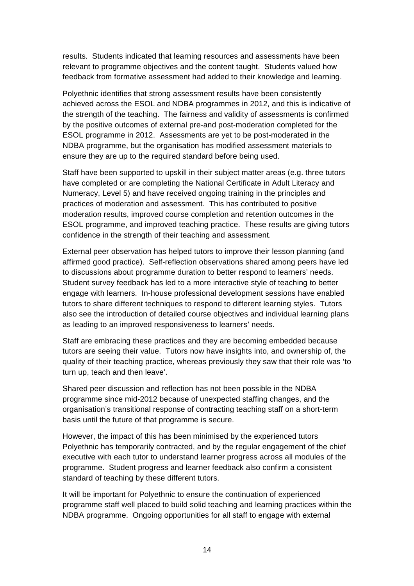results. Students indicated that learning resources and assessments have been relevant to programme objectives and the content taught. Students valued how feedback from formative assessment had added to their knowledge and learning.

Polyethnic identifies that strong assessment results have been consistently achieved across the ESOL and NDBA programmes in 2012, and this is indicative of the strength of the teaching. The fairness and validity of assessments is confirmed by the positive outcomes of external pre-and post-moderation completed for the ESOL programme in 2012. Assessments are yet to be post-moderated in the NDBA programme, but the organisation has modified assessment materials to ensure they are up to the required standard before being used.

Staff have been supported to upskill in their subject matter areas (e.g. three tutors have completed or are completing the National Certificate in Adult Literacy and Numeracy, Level 5) and have received ongoing training in the principles and practices of moderation and assessment. This has contributed to positive moderation results, improved course completion and retention outcomes in the ESOL programme, and improved teaching practice. These results are giving tutors confidence in the strength of their teaching and assessment.

External peer observation has helped tutors to improve their lesson planning (and affirmed good practice). Self-reflection observations shared among peers have led to discussions about programme duration to better respond to learners' needs. Student survey feedback has led to a more interactive style of teaching to better engage with learners. In-house professional development sessions have enabled tutors to share different techniques to respond to different learning styles. Tutors also see the introduction of detailed course objectives and individual learning plans as leading to an improved responsiveness to learners' needs.

Staff are embracing these practices and they are becoming embedded because tutors are seeing their value. Tutors now have insights into, and ownership of, the quality of their teaching practice, whereas previously they saw that their role was 'to turn up, teach and then leave'.

Shared peer discussion and reflection has not been possible in the NDBA programme since mid-2012 because of unexpected staffing changes, and the organisation's transitional response of contracting teaching staff on a short-term basis until the future of that programme is secure.

However, the impact of this has been minimised by the experienced tutors Polyethnic has temporarily contracted, and by the regular engagement of the chief executive with each tutor to understand learner progress across all modules of the programme. Student progress and learner feedback also confirm a consistent standard of teaching by these different tutors.

It will be important for Polyethnic to ensure the continuation of experienced programme staff well placed to build solid teaching and learning practices within the NDBA programme. Ongoing opportunities for all staff to engage with external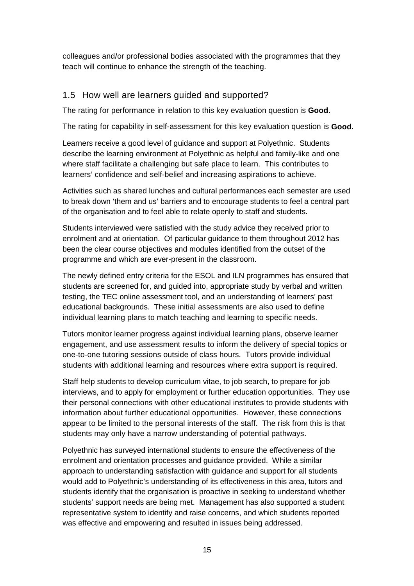colleagues and/or professional bodies associated with the programmes that they teach will continue to enhance the strength of the teaching.

#### 1.5 How well are learners guided and supported?

The rating for performance in relation to this key evaluation question is **Good.**

The rating for capability in self-assessment for this key evaluation question is **Good.**

Learners receive a good level of guidance and support at Polyethnic. Students describe the learning environment at Polyethnic as helpful and family-like and one where staff facilitate a challenging but safe place to learn. This contributes to learners' confidence and self-belief and increasing aspirations to achieve.

Activities such as shared lunches and cultural performances each semester are used to break down 'them and us' barriers and to encourage students to feel a central part of the organisation and to feel able to relate openly to staff and students.

Students interviewed were satisfied with the study advice they received prior to enrolment and at orientation. Of particular guidance to them throughout 2012 has been the clear course objectives and modules identified from the outset of the programme and which are ever-present in the classroom.

The newly defined entry criteria for the ESOL and ILN programmes has ensured that students are screened for, and guided into, appropriate study by verbal and written testing, the TEC online assessment tool, and an understanding of learners' past educational backgrounds. These initial assessments are also used to define individual learning plans to match teaching and learning to specific needs.

Tutors monitor learner progress against individual learning plans, observe learner engagement, and use assessment results to inform the delivery of special topics or one-to-one tutoring sessions outside of class hours. Tutors provide individual students with additional learning and resources where extra support is required.

Staff help students to develop curriculum vitae, to job search, to prepare for job interviews, and to apply for employment or further education opportunities. They use their personal connections with other educational institutes to provide students with information about further educational opportunities. However, these connections appear to be limited to the personal interests of the staff. The risk from this is that students may only have a narrow understanding of potential pathways.

Polyethnic has surveyed international students to ensure the effectiveness of the enrolment and orientation processes and guidance provided. While a similar approach to understanding satisfaction with guidance and support for all students would add to Polyethnic's understanding of its effectiveness in this area, tutors and students identify that the organisation is proactive in seeking to understand whether students' support needs are being met. Management has also supported a student representative system to identify and raise concerns, and which students reported was effective and empowering and resulted in issues being addressed.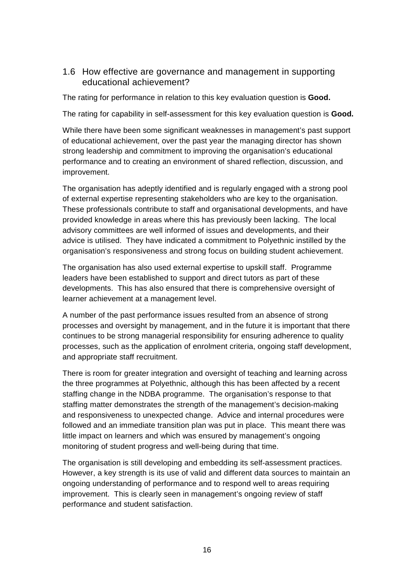#### 1.6 How effective are governance and management in supporting educational achievement?

The rating for performance in relation to this key evaluation question is **Good.**

The rating for capability in self-assessment for this key evaluation question is **Good.**

While there have been some significant weaknesses in management's past support of educational achievement, over the past year the managing director has shown strong leadership and commitment to improving the organisation's educational performance and to creating an environment of shared reflection, discussion, and improvement.

The organisation has adeptly identified and is regularly engaged with a strong pool of external expertise representing stakeholders who are key to the organisation. These professionals contribute to staff and organisational developments, and have provided knowledge in areas where this has previously been lacking. The local advisory committees are well informed of issues and developments, and their advice is utilised. They have indicated a commitment to Polyethnic instilled by the organisation's responsiveness and strong focus on building student achievement.

The organisation has also used external expertise to upskill staff. Programme leaders have been established to support and direct tutors as part of these developments. This has also ensured that there is comprehensive oversight of learner achievement at a management level.

A number of the past performance issues resulted from an absence of strong processes and oversight by management, and in the future it is important that there continues to be strong managerial responsibility for ensuring adherence to quality processes, such as the application of enrolment criteria, ongoing staff development, and appropriate staff recruitment.

There is room for greater integration and oversight of teaching and learning across the three programmes at Polyethnic, although this has been affected by a recent staffing change in the NDBA programme. The organisation's response to that staffing matter demonstrates the strength of the management's decision-making and responsiveness to unexpected change. Advice and internal procedures were followed and an immediate transition plan was put in place. This meant there was little impact on learners and which was ensured by management's ongoing monitoring of student progress and well-being during that time.

The organisation is still developing and embedding its self-assessment practices. However, a key strength is its use of valid and different data sources to maintain an ongoing understanding of performance and to respond well to areas requiring improvement. This is clearly seen in management's ongoing review of staff performance and student satisfaction.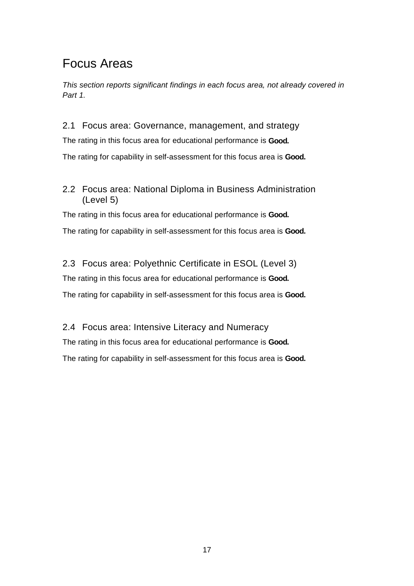### Focus Areas

This section reports significant findings in each focus area, not already covered in Part 1.

2.1 Focus area: Governance, management, and strategy The rating in this focus area for educational performance is **Good.** The rating for capability in self-assessment for this focus area is **Good.** 

#### 2.2 Focus area: National Diploma in Business Administration (Level 5)

The rating in this focus area for educational performance is **Good.** The rating for capability in self-assessment for this focus area is **Good.** 

#### 2.3 Focus area: Polyethnic Certificate in ESOL (Level 3)

The rating in this focus area for educational performance is **Good.** The rating for capability in self-assessment for this focus area is **Good.** 

2.4 Focus area: Intensive Literacy and Numeracy The rating in this focus area for educational performance is **Good.** The rating for capability in self-assessment for this focus area is **Good.**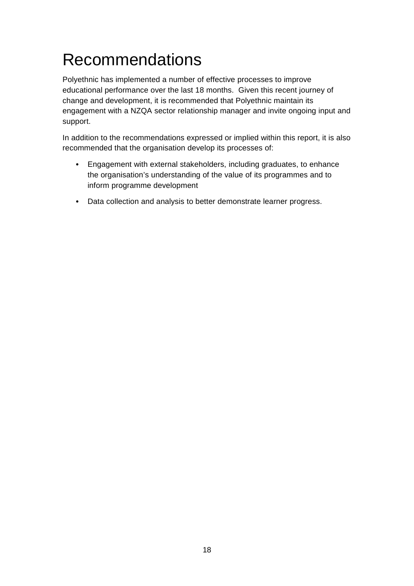## Recommendations

Polyethnic has implemented a number of effective processes to improve educational performance over the last 18 months. Given this recent journey of change and development, it is recommended that Polyethnic maintain its engagement with a NZQA sector relationship manager and invite ongoing input and support.

In addition to the recommendations expressed or implied within this report, it is also recommended that the organisation develop its processes of:

- Engagement with external stakeholders, including graduates, to enhance the organisation's understanding of the value of its programmes and to inform programme development
- Data collection and analysis to better demonstrate learner progress.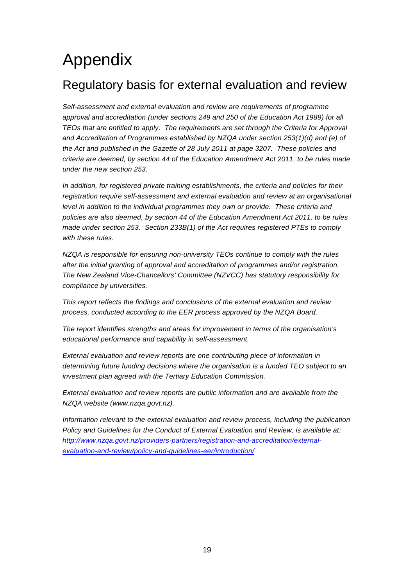## Appendix

### Regulatory basis for external evaluation and review

Self-assessment and external evaluation and review are requirements of programme approval and accreditation (under sections 249 and 250 of the Education Act 1989) for all TEOs that are entitled to apply. The requirements are set through the Criteria for Approval and Accreditation of Programmes established by NZQA under section 253(1)(d) and (e) of the Act and published in the Gazette of 28 July 2011 at page 3207. These policies and criteria are deemed, by section 44 of the Education Amendment Act 2011, to be rules made under the new section 253.

In addition, for registered private training establishments, the criteria and policies for their registration require self-assessment and external evaluation and review at an organisational level in addition to the individual programmes they own or provide. These criteria and policies are also deemed, by section 44 of the Education Amendment Act 2011, to be rules made under section 253. Section 233B(1) of the Act requires registered PTEs to comply with these rules.

NZQA is responsible for ensuring non-university TEOs continue to comply with the rules after the initial granting of approval and accreditation of programmes and/or registration. The New Zealand Vice-Chancellors' Committee (NZVCC) has statutory responsibility for compliance by universities.

This report reflects the findings and conclusions of the external evaluation and review process, conducted according to the EER process approved by the NZQA Board.

The report identifies strengths and areas for improvement in terms of the organisation's educational performance and capability in self-assessment.

External evaluation and review reports are one contributing piece of information in determining future funding decisions where the organisation is a funded TEO subject to an investment plan agreed with the Tertiary Education Commission.

External evaluation and review reports are public information and are available from the NZQA website (www.nzqa.govt.nz).

Information relevant to the external evaluation and review process, including the publication Policy and Guidelines for the Conduct of External Evaluation and Review, is available at: http://www.nzqa.govt.nz/providers-partners/registration-and-accreditation/externalevaluation-and-review/policy-and-guidelines-eer/introduction/